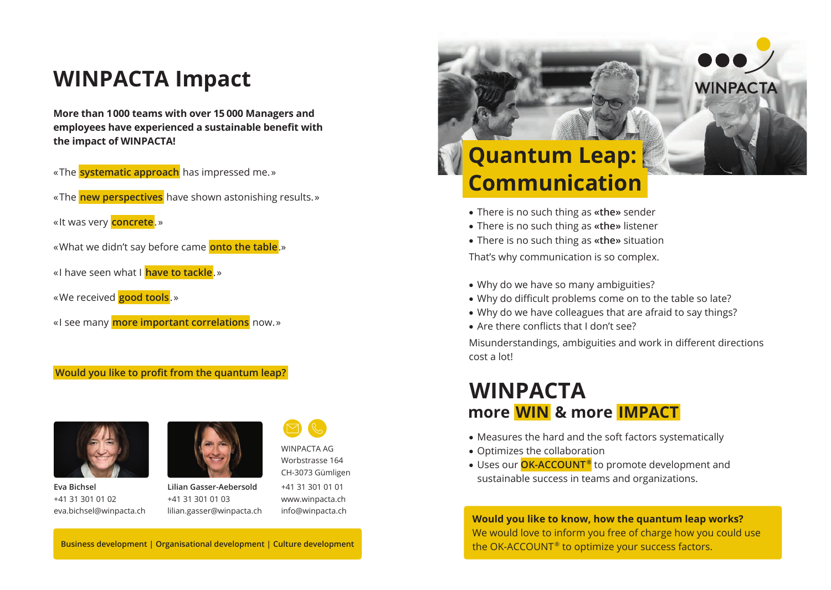### **WINPACTA Impact**

**More than 1 000 teams with over 15 000 Managers and employees have experienced a sustainable benefit with the impact of WINPACTA!**

- « The **systematic approach** has impressed me. »
- « The **new perspectives** have shown astonishing results. »
- « It was very **concrete**. »
- « What we didn't say before came **onto the table**.»
- « I have seen what I **have to tackle**. »
- « We received **good tools**. »
- « I see many **more important correlations** now. »

#### **Would you like to profit from the quantum leap?**



**Eva Bichsel** +41 31 301 01 02 eva.bichsel@winpacta.ch



**Lilian Gasser-Aebersold** +41 31 301 01 03 lilian.gasser@winpacta.ch



www.winpacta.ch info@winpacta.ch

WINPACTA AG

## **Quantum Leap: Communication**

- There is no such thing as **«the»** sender
- There is no such thing as **«the»** listener
- There is no such thing as **«the»** situation

That's why communication is so complex.

- Why do we have so many ambiguities?
- Why do difficult problems come on to the table so late?
- Why do we have colleagues that are afraid to say things?
- Are there conflicts that I don't see?

Misunderstandings, ambiguities and work in different directions cost a lot!

#### **WINPACTA more  WIN  & more  IMPACT**

- Measures the hard and the soft factors systematically
- Optimizes the collaboration
- Uses our **OK-ACCOUNT ®** to promote development and sustainable success in teams and organizations.

**Would you like to know, how the quantum leap works?** We would love to inform you free of charge how you could use the OK-ACCOUNT<sup>®</sup> to optimize your success factors.

**Business development | Organisational development | Culture development**